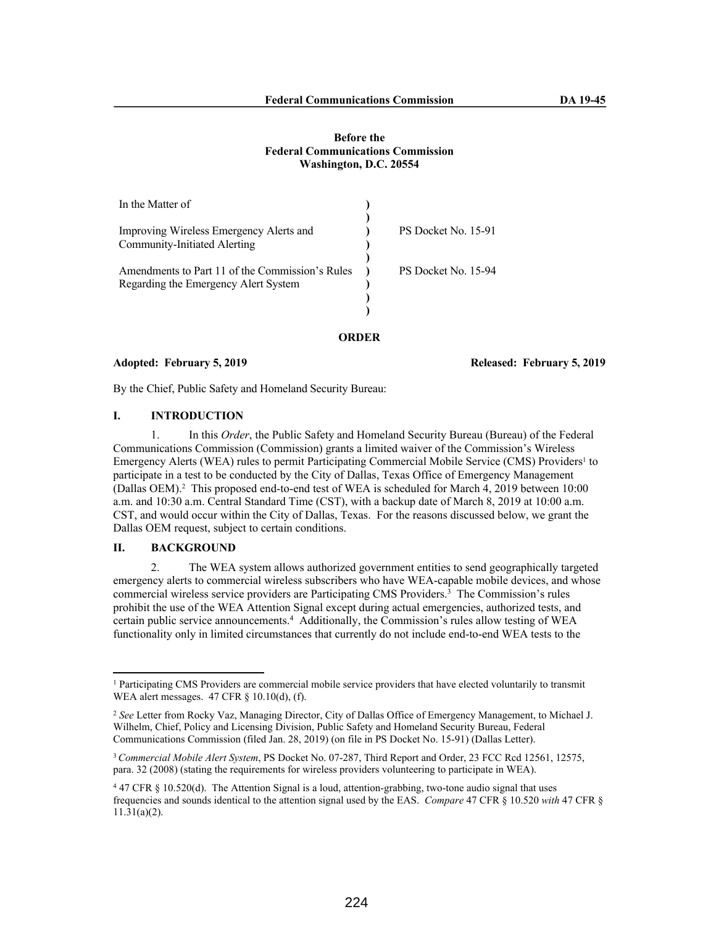## **Before the Federal Communications Commission Washington, D.C. 20554**

| In the Matter of                                |                     |
|-------------------------------------------------|---------------------|
|                                                 |                     |
| Improving Wireless Emergency Alerts and         | PS Docket No. 15-91 |
| <b>Community-Initiated Alerting</b>             |                     |
|                                                 |                     |
| Amendments to Part 11 of the Commission's Rules | PS Docket No. 15-94 |
| Regarding the Emergency Alert System            |                     |
|                                                 |                     |
|                                                 |                     |
|                                                 |                     |

#### **ORDER**

#### **Adopted: February 5, 2019 Released: February 5, 2019**

By the Chief, Public Safety and Homeland Security Bureau:

## **I. INTRODUCTION**

1. In this *Order*, the Public Safety and Homeland Security Bureau (Bureau) of the Federal Communications Commission (Commission) grants a limited waiver of the Commission's Wireless Emergency Alerts (WEA) rules to permit Participating Commercial Mobile Service (CMS) Providers<sup>1</sup> to participate in a test to be conducted by the City of Dallas, Texas Office of Emergency Management (Dallas OEM).<sup>2</sup> This proposed end-to-end test of WEA is scheduled for March 4, 2019 between 10:00 a.m. and 10:30 a.m. Central Standard Time (CST), with a backup date of March 8, 2019 at 10:00 a.m. CST, and would occur within the City of Dallas, Texas. For the reasons discussed below, we grant the Dallas OEM request, subject to certain conditions.

## **II. BACKGROUND**

2. The WEA system allows authorized government entities to send geographically targeted emergency alerts to commercial wireless subscribers who have WEA-capable mobile devices, and whose commercial wireless service providers are Participating CMS Providers.<sup>3</sup> The Commission's rules prohibit the use of the WEA Attention Signal except during actual emergencies, authorized tests, and certain public service announcements.<sup>4</sup> Additionally, the Commission's rules allow testing of WEA functionality only in limited circumstances that currently do not include end-to-end WEA tests to the

<sup>1</sup> Participating CMS Providers are commercial mobile service providers that have elected voluntarily to transmit WEA alert messages. 47 CFR § 10.10(d), (f).

<sup>2</sup> *See* Letter from Rocky Vaz, Managing Director, City of Dallas Office of Emergency Management, to Michael J. Wilhelm, Chief, Policy and Licensing Division, Public Safety and Homeland Security Bureau, Federal Communications Commission (filed Jan. 28, 2019) (on file in PS Docket No. 15-91) (Dallas Letter).

<sup>3</sup>*Commercial Mobile Alert System*, PS Docket No. 07-287, Third Report and Order, 23 FCC Rcd 12561, 12575, para. 32 (2008) (stating the requirements for wireless providers volunteering to participate in WEA).

<sup>4</sup> 47 CFR § 10.520(d). The Attention Signal is a loud, attention-grabbing, two-tone audio signal that uses frequencies and sounds identical to the attention signal used by the EAS. *Compare* 47 CFR § 10.520 *with* 47 CFR § 11.31(a)(2).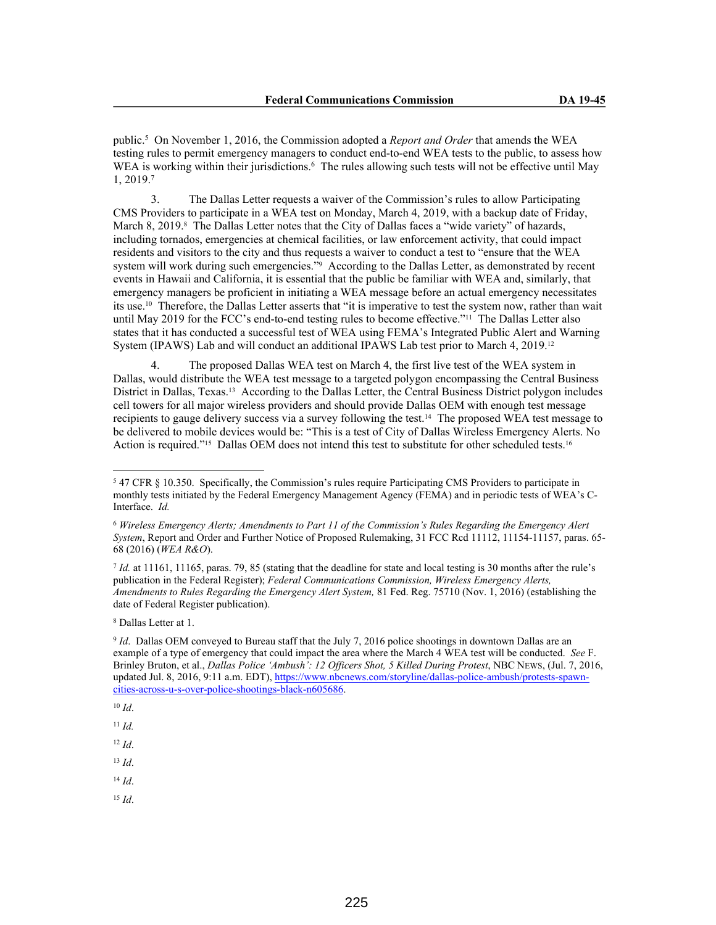public.<sup>5</sup> On November 1, 2016, the Commission adopted a *Report and Order* that amends the WEA testing rules to permit emergency managers to conduct end-to-end WEA tests to the public, to assess how WEA is working within their jurisdictions.<sup>6</sup> The rules allowing such tests will not be effective until May 1, 2019.<sup>7</sup>

3. The Dallas Letter requests a waiver of the Commission's rules to allow Participating CMS Providers to participate in a WEA test on Monday, March 4, 2019, with a backup date of Friday, March 8, 2019.<sup>8</sup> The Dallas Letter notes that the City of Dallas faces a "wide variety" of hazards, including tornados, emergencies at chemical facilities, or law enforcement activity, that could impact residents and visitors to the city and thus requests a waiver to conduct a test to "ensure that the WEA system will work during such emergencies."<sup>9</sup> According to the Dallas Letter, as demonstrated by recent events in Hawaii and California, it is essential that the public be familiar with WEA and, similarly, that emergency managers be proficient in initiating a WEA message before an actual emergency necessitates its use.10 Therefore, the Dallas Letter asserts that "it is imperative to test the system now, rather than wait until May 2019 for the FCC's end-to-end testing rules to become effective."11 The Dallas Letter also states that it has conducted a successful test of WEA using FEMA's Integrated Public Alert and Warning System (IPAWS) Lab and will conduct an additional IPAWS Lab test prior to March 4, 2019.<sup>12</sup>

4. The proposed Dallas WEA test on March 4, the first live test of the WEA system in Dallas, would distribute the WEA test message to a targeted polygon encompassing the Central Business District in Dallas, Texas.13 According to the Dallas Letter, the Central Business District polygon includes cell towers for all major wireless providers and should provide Dallas OEM with enough test message recipients to gauge delivery success via a survey following the test.14 The proposed WEA test message to be delivered to mobile devices would be: "This is a test of City of Dallas Wireless Emergency Alerts. No Action is required."<sup>15</sup> Dallas OEM does not intend this test to substitute for other scheduled tests.<sup>16</sup>

*Id.* at 11161, 11165, paras. 79, 85 (stating that the deadline for state and local testing is 30 months after the rule's publication in the Federal Register); *Federal Communications Commission, Wireless Emergency Alerts, Amendments to Rules Regarding the Emergency Alert System,* 81 Fed. Reg. 75710 (Nov. 1, 2016) (establishing the date of Federal Register publication).

8 Dallas Letter at 1.

- <sup>14</sup> *Id*.
- <sup>15</sup> *Id*.

<sup>5</sup> 47 CFR § 10.350. Specifically, the Commission's rules require Participating CMS Providers to participate in monthly tests initiated by the Federal Emergency Management Agency (FEMA) and in periodic tests of WEA's C-Interface. *Id.*

<sup>6</sup> *Wireless Emergency Alerts; Amendments to Part 11 of the Commission's Rules Regarding the Emergency Alert System*, Report and Order and Further Notice of Proposed Rulemaking, 31 FCC Rcd 11112, 11154-11157, paras. 65- 68 (2016) (*WEA R&O*).

<sup>&</sup>lt;sup>9</sup> *Id*. Dallas OEM conveyed to Bureau staff that the July 7, 2016 police shootings in downtown Dallas are an example of a type of emergency that could impact the area where the March 4 WEA test will be conducted. *See* F. Brinley Bruton, et al., *Dallas Police 'Ambush': 12 Officers Shot, 5 Killed During Protest*, NBC NEWS, (Jul. 7, 2016, updated Jul. 8, 2016, 9:11 a.m. EDT), https://www.nbcnews.com/storyline/dallas-police-ambush/protests-spawncities-across-u-s-over-police-shootings-black-n605686.

<sup>10</sup> *Id*.

<sup>11</sup> *Id.*

<sup>12</sup> *Id*.

<sup>13</sup> *Id*.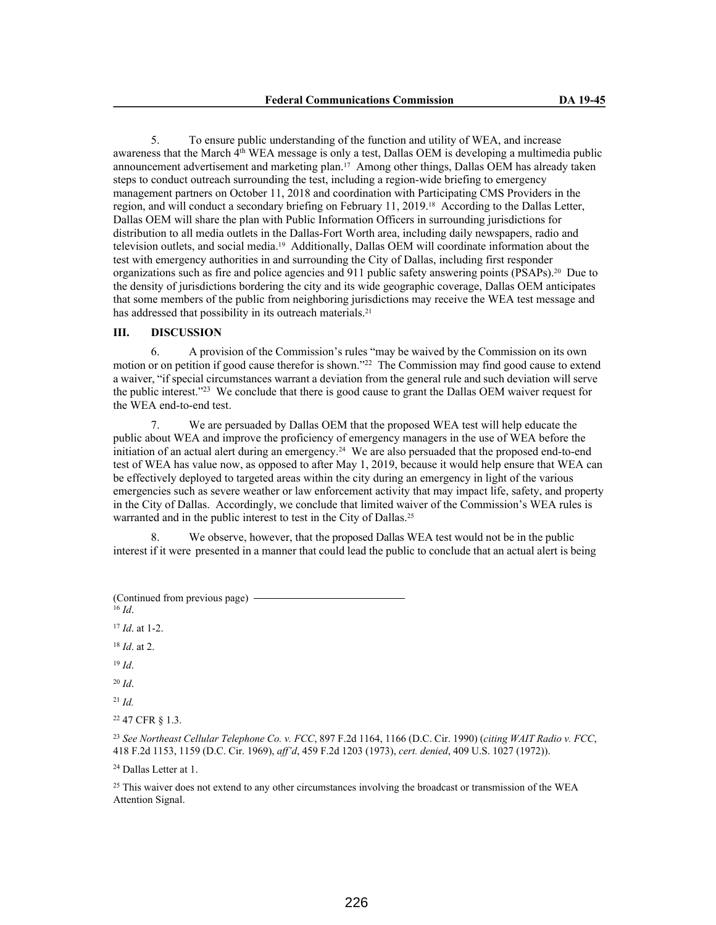5. To ensure public understanding of the function and utility of WEA, and increase awareness that the March 4<sup>th</sup> WEA message is only a test, Dallas OEM is developing a multimedia public announcement advertisement and marketing plan.17 Among other things, Dallas OEM has already taken steps to conduct outreach surrounding the test, including a region-wide briefing to emergency management partners on October 11, 2018 and coordination with Participating CMS Providers in the region, and will conduct a secondary briefing on February 11, 2019.18 According to the Dallas Letter, Dallas OEM will share the plan with Public Information Officers in surrounding jurisdictions for distribution to all media outlets in the Dallas-Fort Worth area, including daily newspapers, radio and television outlets, and social media.19 Additionally, Dallas OEM will coordinate information about the test with emergency authorities in and surrounding the City of Dallas, including first responder organizations such as fire and police agencies and 911 public safety answering points (PSAPs).20 Due to the density of jurisdictions bordering the city and its wide geographic coverage, Dallas OEM anticipates that some members of the public from neighboring jurisdictions may receive the WEA test message and has addressed that possibility in its outreach materials.<sup>21</sup>

#### **III. DISCUSSION**

6. A provision of the Commission's rules "may be waived by the Commission on its own motion or on petition if good cause therefor is shown."<sup>22</sup> The Commission may find good cause to extend a waiver, "if special circumstances warrant a deviation from the general rule and such deviation will serve the public interest."<sup>23</sup> We conclude that there is good cause to grant the Dallas OEM waiver request for the WEA end-to-end test.

7. We are persuaded by Dallas OEM that the proposed WEA test will help educate the public about WEA and improve the proficiency of emergency managers in the use of WEA before the initiation of an actual alert during an emergency.24 We are also persuaded that the proposed end-to-end test of WEA has value now, as opposed to after May 1, 2019, because it would help ensure that WEA can be effectively deployed to targeted areas within the city during an emergency in light of the various emergencies such as severe weather or law enforcement activity that may impact life, safety, and property in the City of Dallas. Accordingly, we conclude that limited waiver of the Commission's WEA rules is warranted and in the public interest to test in the City of Dallas.<sup>25</sup>

We observe, however, that the proposed Dallas WEA test would not be in the public interest if it were presented in a manner that could lead the public to conclude that an actual alert is being

| (Continued from previous page) |  |
|--------------------------------|--|
| $16$ <i>Id</i>                 |  |

<sup>17</sup> *Id*. at 1-2. <sup>18</sup> *Id*. at 2. <sup>19</sup> *Id*. <sup>20</sup> *Id*. <sup>21</sup> *Id.* <sup>22</sup> 47 CFR § 1.3.

<sup>23</sup> *See Northeast Cellular Telephone Co. v. FCC*, 897 F.2d 1164, 1166 (D.C. Cir. 1990) (*citing WAIT Radio v. FCC*, 418 F.2d 1153, 1159 (D.C. Cir. 1969), *aff'd*, 459 F.2d 1203 (1973), *cert. denied*, 409 U.S. 1027 (1972)).

<sup>24</sup> Dallas Letter at 1.

<sup>25</sup> This waiver does not extend to any other circumstances involving the broadcast or transmission of the WEA Attention Signal.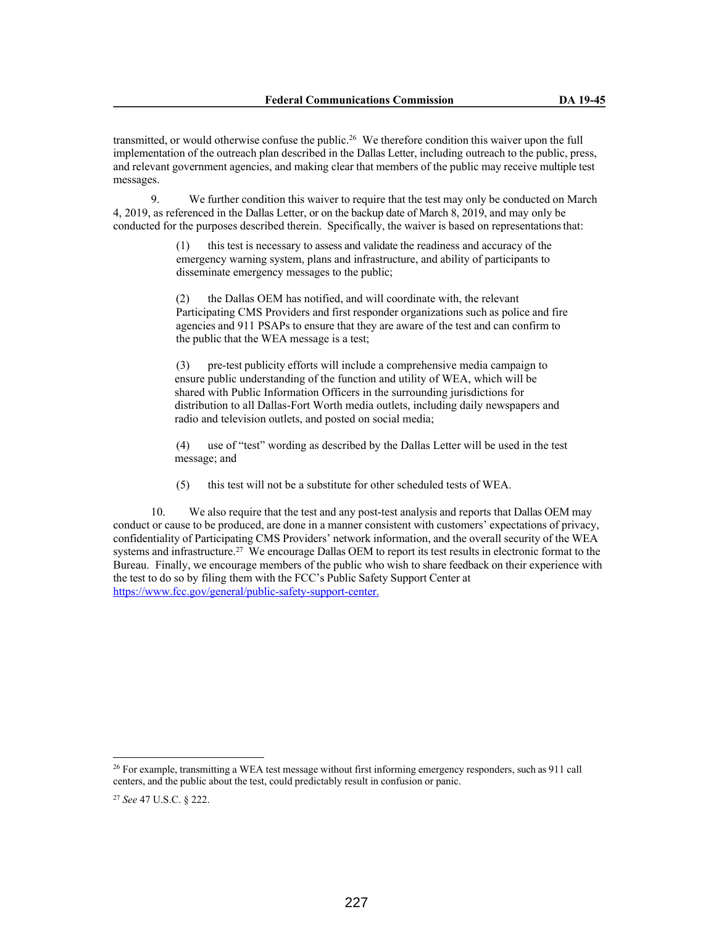transmitted, or would otherwise confuse the public.<sup>26</sup> We therefore condition this waiver upon the full implementation of the outreach plan described in the Dallas Letter, including outreach to the public, press, and relevant government agencies, and making clear that members of the public may receive multiple test messages.

9. We further condition this waiver to require that the test may only be conducted on March 4, 2019, as referenced in the Dallas Letter, or on the backup date of March 8, 2019, and may only be conducted for the purposes described therein. Specifically, the waiver is based on representations that:

> (1) this test is necessary to assess and validate the readiness and accuracy of the emergency warning system, plans and infrastructure, and ability of participants to disseminate emergency messages to the public;

(2) the Dallas OEM has notified, and will coordinate with, the relevant Participating CMS Providers and first responder organizations such as police and fire agencies and 911 PSAPs to ensure that they are aware of the test and can confirm to the public that the WEA message is a test;

(3) pre-test publicity efforts will include a comprehensive media campaign to ensure public understanding of the function and utility of WEA, which will be shared with Public Information Officers in the surrounding jurisdictions for distribution to all Dallas-Fort Worth media outlets, including daily newspapers and radio and television outlets, and posted on social media;

(4) use of "test" wording as described by the Dallas Letter will be used in the test message; and

(5) this test will not be a substitute for other scheduled tests of WEA.

10. We also require that the test and any post-test analysis and reports that Dallas OEM may conduct or cause to be produced, are done in a manner consistent with customers' expectations of privacy, confidentiality of Participating CMS Providers' network information, and the overall security of the WEA systems and infrastructure.<sup>27</sup> We encourage Dallas OEM to report its test results in electronic format to the Bureau. Finally, we encourage members of the public who wish to share feedback on their experience with the test to do so by filing them with the FCC's Public Safety Support Center at https://www.fcc.gov/general/public-safety-support-center.

<sup>&</sup>lt;sup>26</sup> For example, transmitting a WEA test message without first informing emergency responders, such as 911 call centers, and the public about the test, could predictably result in confusion or panic.

<sup>27</sup> *See* 47 U.S.C. § 222.